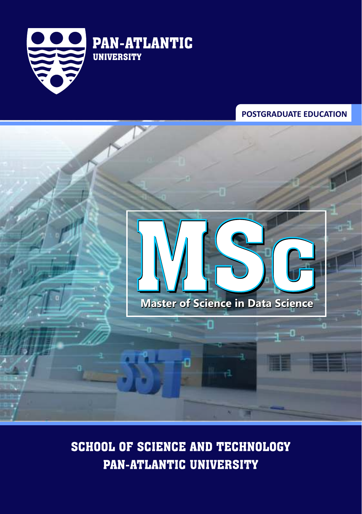

#### **POSTGRADUATE EDUCATION**



**SCHOOL OF SCIENCE AND TECHNOLOGY** PAN-ATLANTIC UNIVERSITY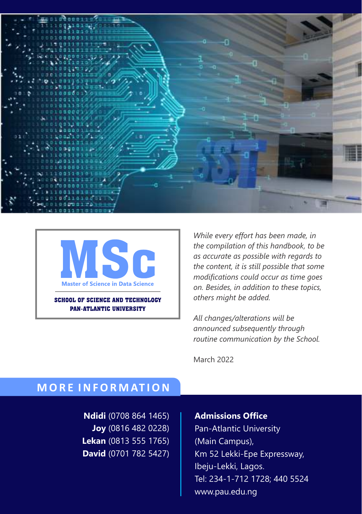



**SCHOOL OF SCIENCE AND TECHNOLOGY PAN-ATLANTIC UNIVERSITY** 

*While every effort has been made, in the compilation of this handbook, to be as accurate as possible with regards to the content, it is still possible that some modifications could occur as time goes on. Besides, in addition to these topics, others might be added.* 

*All changes/alterations will be announced subsequently through routine communication by the School.*

March 2022

## **M OR E INFOR M AT ION**

**Ndidi** (0708 864 1465) **Joy** (0816 482 0228) **Lekan** (0813 555 1765) **David** (0701 782 5427) **Admissions Office**

Pan-Atlantic University (Main Campus), Km 52 Lekki-Epe Expressway, Ibeju-Lekki, Lagos. Tel: 234-1-712 1728; 440 5524 www.pau.edu.ng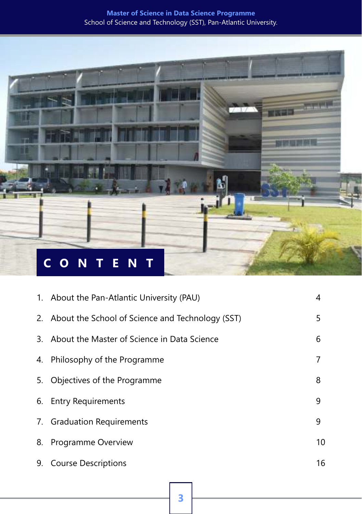#### **Master of Science in Data Science Programme**  School of Science and Technology (SST), Pan-Atlantic University.



|    | 1. About the Pan-Atlantic University (PAU)          | 4  |
|----|-----------------------------------------------------|----|
|    | 2. About the School of Science and Technology (SST) | 5  |
|    | 3. About the Master of Science in Data Science      | 6  |
|    | 4. Philosophy of the Programme                      | 7  |
|    | 5. Objectives of the Programme                      | 8  |
|    | 6. Entry Requirements                               | 9  |
|    | 7. Graduation Requirements                          | 9  |
| 8. | Programme Overview                                  | 10 |
| 9. | <b>Course Descriptions</b>                          | 16 |
|    |                                                     |    |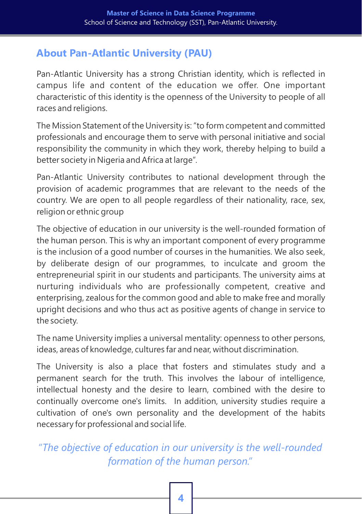### **About Pan-Atlantic University (PAU)**

Pan-Atlantic University has a strong Christian identity, which is reflected in campus life and content of the education we offer. One important characteristic of this identity is the openness of the University to people of all races and religions.

The Mission Statement of the University is: "to form competent and committed professionals and encourage them to serve with personal initiative and social responsibility the community in which they work, thereby helping to build a better society in Nigeria and Africa at large".

Pan-Atlantic University contributes to national development through the provision of academic programmes that are relevant to the needs of the country. We are open to all people regardless of their nationality, race, sex, religion or ethnic group

The objective of education in our university is the well-rounded formation of the human person. This is why an important component of every programme is the inclusion of a good number of courses in the humanities. We also seek, by deliberate design of our programmes, to inculcate and groom the entrepreneurial spirit in our students and participants. The university aims at nurturing individuals who are professionally competent, creative and enterprising, zealous for the common good and able to make free and morally upright decisions and who thus act as positive agents of change in service to the society.

The name University implies a universal mentality: openness to other persons, ideas, areas of knowledge, cultures far and near, without discrimination.

The University is also a place that fosters and stimulates study and a permanent search for the truth. This involves the labour of intelligence, intellectual honesty and the desire to learn, combined with the desire to continually overcome one's limits. In addition, university studies require a cultivation of one's own personality and the development of the habits necessary for professional and social life.

*"The objective of education in our university is the well-rounded formation of the human person."*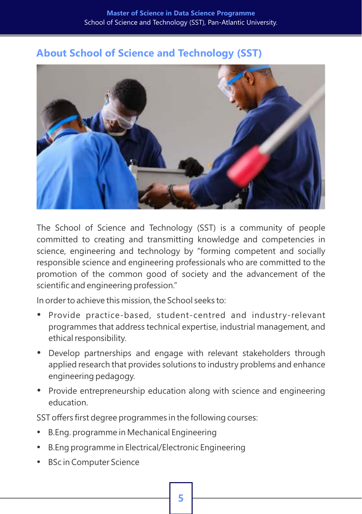### **About School of Science and Technology (SST)**



The School of Science and Technology (SST) is a community of people committed to creating and transmitting knowledge and competencies in science, engineering and technology by "forming competent and socially responsible science and engineering professionals who are committed to the promotion of the common good of society and the advancement of the scientific and engineering profession."

In order to achieve this mission, the School seeks to:

- Provide practice-based, student-centred and industry-relevant programmes that address technical expertise, industrial management, and ethical responsibility.
- Develop partnerships and engage with relevant stakeholders through applied research that provides solutions to industry problems and enhance engineering pedagogy.
- Provide entrepreneurship education along with science and engineering education.

SST offers first degree programmes in the following courses:

- **•** B.Eng. programme in Mechanical Engineering
- B.Eng programme in Electrical/Electronic Engineering
- BSc in Computer Science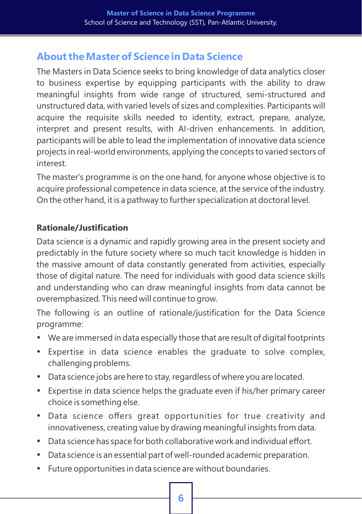#### **About the Master of Science in Data Science**

The Masters in Data Science seeks to bring knowledge of data analytics closer to business expertise by equipping participants with the ability to draw meaningful insights from wide range of structured, semi-structured and unstructured data, with varied levels of sizes and complexities. Participants will acquire the requisite skills needed to identity, extract, prepare, analyze, interpret and present results, with AI-driven enhancements. In addition, participants will be able to lead the implementation of innovative data science projects in real-world environments, applying the concepts to varied sectors of interest.

The master's programme is on the one hand, for anyone whose objective is to acquire professional competence in data science, at the service of the industry. On the other hand, it is a pathway to further specialization at doctoral level.

#### **Rationale/Justification**

Data science is a dynamic and rapidly growing area in the present society and predictably in the future society where so much tacit knowledge is hidden in the massive amount of data constantly generated from activities, especially those of digital nature. The need for individuals with good data science skills and understanding who can draw meaningful insights from data cannot be overemphasized. This need will continue to grow.

The following is an outline of rationale/justification for the Data Science programme:

- We are immersed in data especially those that are result of digital footprints
- Expertise in data science enables the graduate to solve complex, challenging problems.
- Data science jobs are here to stay, regardless of where you are located.
- Expertise in data science helps the graduate even if his/her primary career choice is something else.
- Data science offers great opportunities for true creativity and innovativeness, creating value by drawing meaningful insights from data.
- Data science has space for both collaborative work and individual effort.
- Data science is an essential part of well-rounded academic preparation.
- Future opportunities in data science are without boundaries.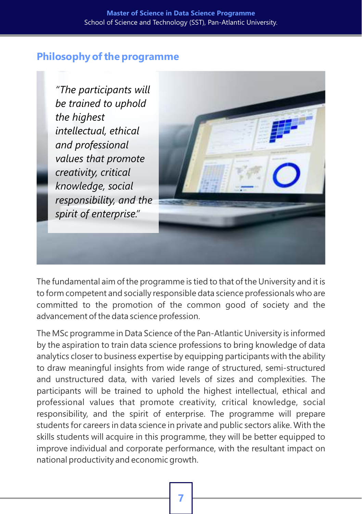#### **Philosophy of the programme**

*"The participants will be trained to uphold the highest intellectual, ethical and professional values that promote creativity, critical knowledge, social responsibility, and the spirit of enterprise."* 



The fundamental aim of the programme is tied to that of the University and it is to form competent and socially responsible data science professionals who are committed to the promotion of the common good of society and the advancement of the data science profession.

The MSc programme in Data Science of the Pan-Atlantic University is informed by the aspiration to train data science professions to bring knowledge of data analytics closer to business expertise by equipping participants with the ability to draw meaningful insights from wide range of structured, semi-structured and unstructured data, with varied levels of sizes and complexities. The participants will be trained to uphold the highest intellectual, ethical and professional values that promote creativity, critical knowledge, social responsibility, and the spirit of enterprise. The programme will prepare students for careers in data science in private and public sectors alike. With the skills students will acquire in this programme, they will be better equipped to improve individual and corporate performance, with the resultant impact on national productivity and economic growth.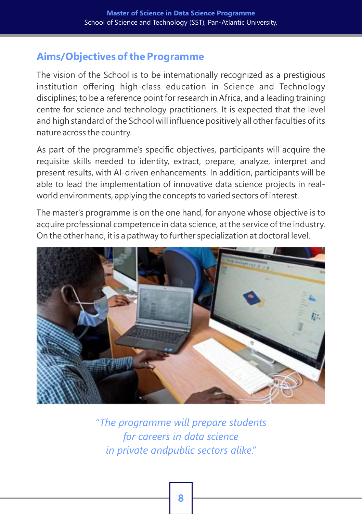### **Aims/Objectives of the Programme**

The vision of the School is to be internationally recognized as a prestigious institution offering high-class education in Science and Technology disciplines; to be a reference point for research in Africa, and a leading training centre for science and technology practitioners. It is expected that the level and high standard of the School will influence positively all other faculties of its nature across the country.

As part of the programme's specific objectives, participants will acquire the requisite skills needed to identity, extract, prepare, analyze, interpret and present results, with AI-driven enhancements. In addition, participants will be able to lead the implementation of innovative data science projects in realworld environments, applying the concepts to varied sectors of interest.

The master's programme is on the one hand, for anyone whose objective is to acquire professional competence in data science, at the service of the industry. On the other hand, it is a pathway to further specialization at doctoral level.



*"The programme will prepare students for careers in data science in private andpublic sectors alike."*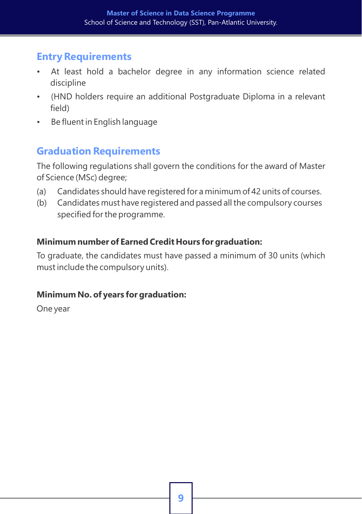#### **Entry Requirements**

- At least hold a bachelor degree in any information science related discipline
- (HND holders require an additional Postgraduate Diploma in a relevant field)
- Be fluent in English language

# **Graduation Requirements**

The following regulations shall govern the conditions for the award of Master of Science (MSc) degree;

- (a) Candidates should have registered for a minimum of 42 units of courses.
- (b) Candidates must have registered and passed all the compulsory courses specified for the programme.

#### **Minimum number of Earned Credit Hours for graduation:**

To graduate, the candidates must have passed a minimum of 30 units (which must include the compulsory units).

#### **Minimum No. of years for graduation:**

One year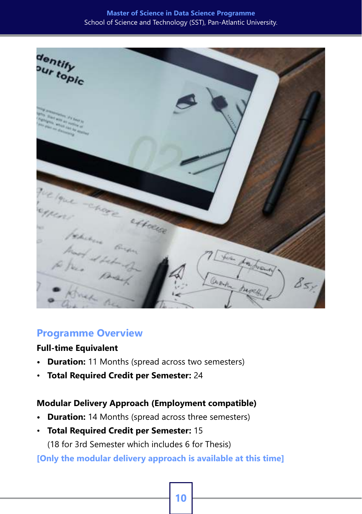#### **Master of Science in Data Science Programme**  School of Science and Technology (SST), Pan-Atlantic University.



#### **Programme Overview**

#### **Full-time Equivalent**

- **Duration:** 11 Months (spread across two semesters)
- **Total Required Credit per Semester:** 24

#### **Modular Delivery Approach (Employment compatible)**

- **Duration:** 14 Months (spread across three semesters)
- **Total Required Credit per Semester:** 15

(18 for 3rd Semester which includes 6 for Thesis)

**[Only the modular delivery approach is available at this time]**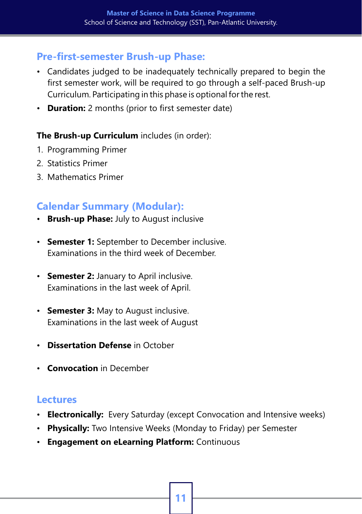#### **Pre-first-semester Brush-up Phase:**

- Candidates judged to be inadequately technically prepared to begin the first semester work, will be required to go through a self-paced Brush-up Curriculum. Participating in this phase is optional for the rest.
- **Duration:** 2 months (prior to first semester date)

#### **The Brush-up Curriculum** includes (in order):

- 1. Programming Primer
- 2. Statistics Primer
- 3. Mathematics Primer

#### **Calendar Summary (Modular):**

- **Brush-up Phase:** July to August inclusive
- **Semester 1:** September to December inclusive. Examinations in the third week of December.
- **Semester 2:** January to April inclusive. Examinations in the last week of April.
- **Semester 3:** May to August inclusive. Examinations in the last week of August
- **Dissertation Defense** in October
- **Convocation** in December

#### **Lectures**

- **Electronically:** Every Saturday (except Convocation and Intensive weeks)
- **Physically:** Two Intensive Weeks (Monday to Friday) per Semester
- **Engagement on eLearning Platform:** Continuous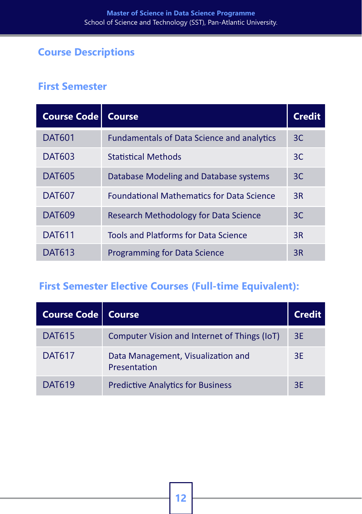#### **Course Descriptions**

# **First Semester**

| <b>Course Code</b> | Course                                            | <b>Credit</b> |
|--------------------|---------------------------------------------------|---------------|
| <b>DAT601</b>      | <b>Fundamentals of Data Science and analytics</b> | 3C            |
| <b>DAT603</b>      | <b>Statistical Methods</b>                        | 3C            |
| <b>DAT605</b>      | Database Modeling and Database systems            | 3C            |
| <b>DAT607</b>      | <b>Foundational Mathematics for Data Science</b>  | 3R            |
| <b>DAT609</b>      | Research Methodology for Data Science             | 3C            |
| <b>DAT611</b>      | Tools and Platforms for Data Science              | 3R            |
| <b>DAT613</b>      | <b>Programming for Data Science</b>               | 3R            |

# **First Semester Elective Courses (Full-time Equivalent):**

| <b>Course Code</b> | <b>Course</b>                                      | <b>Credit</b> |
|--------------------|----------------------------------------------------|---------------|
| <b>DAT615</b>      | Computer Vision and Internet of Things (IoT)       | 3E            |
| <b>DAT617</b>      | Data Management, Visualization and<br>Presentation | 3E.           |
| DAT619             | <b>Predictive Analytics for Business</b>           | 3F            |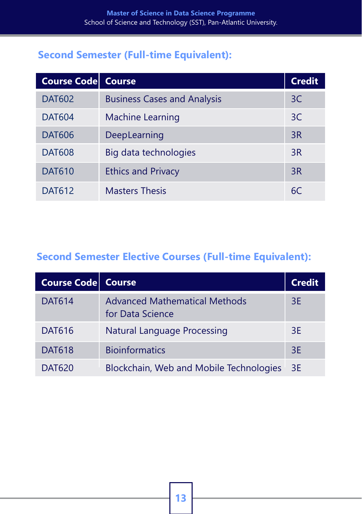# **Second Semester (Full-time Equivalent):**

| Course Code Course |                                    | <b>Credit</b> |
|--------------------|------------------------------------|---------------|
| <b>DAT602</b>      | <b>Business Cases and Analysis</b> | 3C            |
| <b>DAT604</b>      | <b>Machine Learning</b>            | 3C            |
| <b>DAT606</b>      | DeepLearning                       | 3R            |
| <b>DAT608</b>      | Big data technologies              | 3R            |
| <b>DAT610</b>      | <b>Ethics and Privacy</b>          | 3R            |
| <b>DAT612</b>      | <b>Masters Thesis</b>              | 6C            |

# **Second Semester Elective Courses (Full-time Equivalent):**

| <b>Course Code Course</b> |                                                          | <b>Credit</b> |
|---------------------------|----------------------------------------------------------|---------------|
| <b>DAT614</b>             | <b>Advanced Mathematical Methods</b><br>for Data Science | 3E            |
| <b>DAT616</b>             | Natural Language Processing                              | 3F.           |
| <b>DAT618</b>             | <b>Bioinformatics</b>                                    | 3F            |
| <b>DAT620</b>             | Blockchain, Web and Mobile Technologies                  | $-3E$         |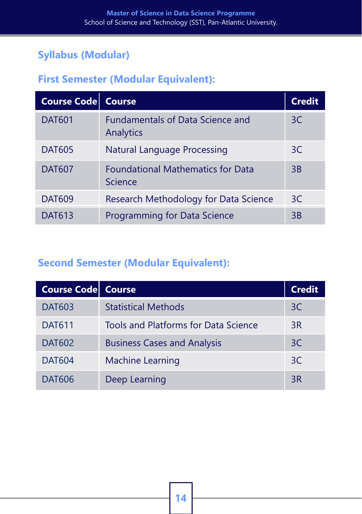# **Syllabus (Modular)**

## **First Semester (Modular Equivalent):**

| <b>Course Code Course</b> |                                                      | <b>Credit</b> |
|---------------------------|------------------------------------------------------|---------------|
| <b>DAT601</b>             | <b>Fundamentals of Data Science and</b><br>Analytics | 3C            |
| <b>DAT605</b>             | Natural Language Processing                          | 3C            |
| <b>DAT607</b>             | <b>Foundational Mathematics for Data</b><br>Science  | 3B            |
| <b>DAT609</b>             | Research Methodology for Data Science                | 3C            |
| DAT613                    | <b>Programming for Data Science</b>                  | 3B            |

# **Second Semester (Modular Equivalent):**

| <b>Course Code Course</b> |                                             | <b>Credit</b> |
|---------------------------|---------------------------------------------|---------------|
| <b>DAT603</b>             | <b>Statistical Methods</b>                  | 3C            |
| <b>DAT611</b>             | <b>Tools and Platforms for Data Science</b> | 3R            |
| <b>DAT602</b>             | <b>Business Cases and Analysis</b>          | 3C            |
| <b>DAT604</b>             | <b>Machine Learning</b>                     | 3C            |
| <b>DAT606</b>             | Deep Learning                               | 3R            |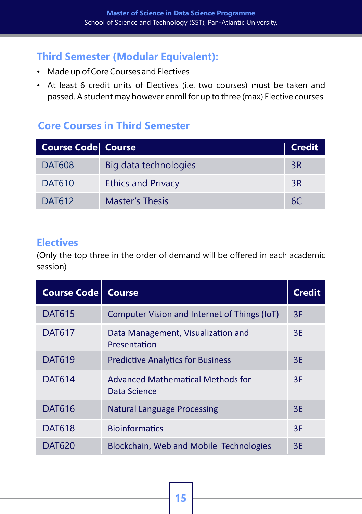# **Third Semester (Modular Equivalent):**

- Made up of Core Courses and Electives
- At least 6 credit units of Electives (i.e. two courses) must be taken and passed. A student may however enroll for up to three (max) Elective courses

### **Core Courses in Third Semester**

| <b>Course Code Course</b> |                           | <b>Credit</b> |
|---------------------------|---------------------------|---------------|
| <b>DAT608</b>             | Big data technologies     | 3R            |
| <b>DAT610</b>             | <b>Ethics and Privacy</b> | 3R            |
| DAT612                    | <b>Master's Thesis</b>    |               |

#### **Electives**

(Only the top three in the order of demand will be offered in each academic session)

| <b>Course Code</b> | <b>Course</b>                                      | <b>Credit</b> |
|--------------------|----------------------------------------------------|---------------|
| <b>DAT615</b>      | Computer Vision and Internet of Things (IoT)       | 3E            |
| <b>DAT617</b>      | Data Management, Visualization and<br>Presentation | 3E            |
| <b>DAT619</b>      | <b>Predictive Analytics for Business</b>           | 3E            |
| <b>DAT614</b>      | Advanced Mathematical Methods for<br>Data Science  | 3E            |
| <b>DAT616</b>      | <b>Natural Language Processing</b>                 | 3E            |
| <b>DAT618</b>      | <b>Bioinformatics</b>                              | 3E            |
| DAT620             | Blockchain, Web and Mobile Technologies            | 3E            |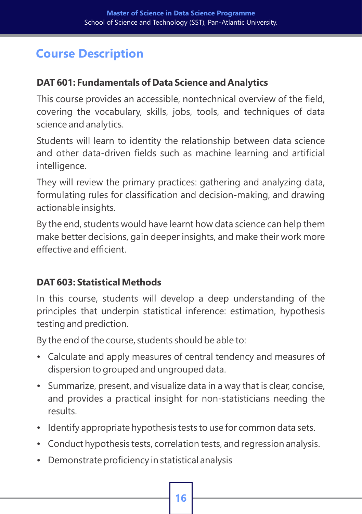# **Course Description**

## **DAT 601: Fundamentals of Data Science and Analytics**

This course provides an accessible, nontechnical overview of the field, covering the vocabulary, skills, jobs, tools, and techniques of data science and analytics.

Students will learn to identity the relationship between data science and other data-driven fields such as machine learning and artificial intelligence.

They will review the primary practices: gathering and analyzing data, formulating rules for classification and decision-making, and drawing actionable insights.

By the end, students would have learnt how data science can help them make better decisions, gain deeper insights, and make their work more effective and efficient.

# **DAT 603: Statistical Methods**

In this course, students will develop a deep understanding of the principles that underpin statistical inference: estimation, hypothesis testing and prediction.

By the end of the course, students should be able to:

- Calculate and apply measures of central tendency and measures of dispersion to grouped and ungrouped data.
- Summarize, present, and visualize data in a way that is clear, concise, and provides a practical insight for non-statisticians needing the results.
- Identify appropriate hypothesis tests to use for common data sets.
- Conduct hypothesis tests, correlation tests, and regression analysis.
- Demonstrate proficiency in statistical analysis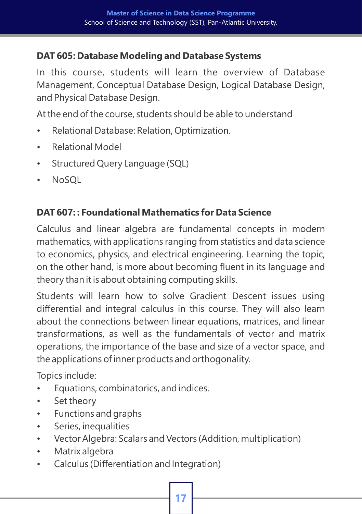#### **DAT 605: Database Modeling and Database Systems**

In this course, students will learn the overview of Database Management, Conceptual Database Design, Logical Database Design, and Physical Database Design.

At the end of the course, students should be able to understand

- Relational Database: Relation, Optimization.
- Relational Model
- Structured Query Language (SQL)
- NoSQL

# **DAT 607: : Foundational Mathematics for Data Science**

Calculus and linear algebra are fundamental concepts in modern mathematics, with applications ranging from statistics and data science to economics, physics, and electrical engineering. Learning the topic, on the other hand, is more about becoming fluent in its language and theory than it is about obtaining computing skills.

Students will learn how to solve Gradient Descent issues using differential and integral calculus in this course. They will also learn about the connections between linear equations, matrices, and linear transformations, as well as the fundamentals of vector and matrix operations, the importance of the base and size of a vector space, and the applications of inner products and orthogonality.

Topics include:

- Equations, combinatorics, and indices.
- Set theory
- Functions and graphs
- Series, inequalities
- Vector Algebra: Scalars and Vectors (Addition, multiplication)
- Matrix algebra
- Calculus (Differentiation and Integration)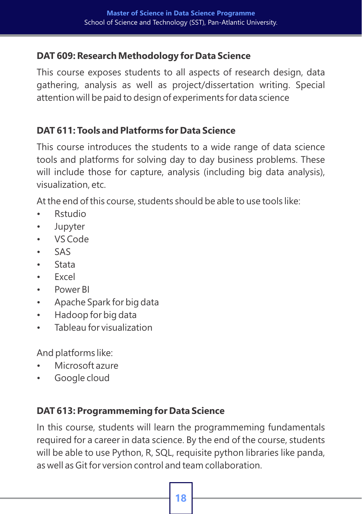### **DAT 609: Research Methodology for Data Science**

This course exposes students to all aspects of research design, data gathering, analysis as well as project/dissertation writing. Special attention will be paid to design of experiments for data science

## **DAT 611: Tools and Platforms for Data Science**

This course introduces the students to a wide range of data science tools and platforms for solving day to day business problems. These will include those for capture, analysis (including big data analysis), visualization, etc.

At the end of this course, students should be able to use tools like:

- Rstudio
- Jupyter
- VS Code
- SAS
- Stata
- Excel
- Power BI
- Apache Spark for big data
- Hadoop for big data
- Tableau for visualization

And platforms like:

- Microsoft azure
- Google cloud

### **DAT 613: Programmeming for Data Science**

In this course, students will learn the programmeming fundamentals required for a career in data science. By the end of the course, students will be able to use Python, R, SQL, requisite python libraries like panda, as well as Git for version control and team collaboration.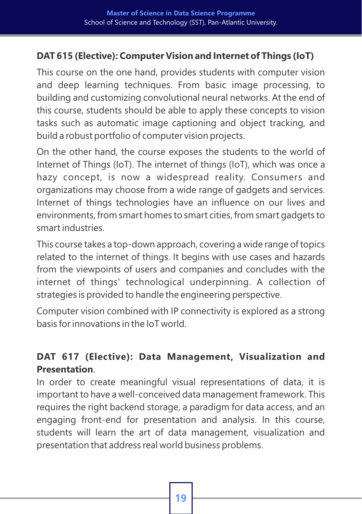### **DAT 615 (Elective): Computer Vision and Internet of Things (IoT)**

This course on the one hand, provides students with computer vision and deep learning techniques. From basic image processing, to building and customizing convolutional neural networks. At the end of this course, students should be able to apply these concepts to vision tasks such as automatic image captioning and object tracking, and build a robust portfolio of computer vision projects.

On the other hand, the course exposes the students to the world of Internet of Things (IoT). The internet of things (IoT), which was once a hazy concept, is now a widespread reality. Consumers and organizations may choose from a wide range of gadgets and services. Internet of things technologies have an influence on our lives and environments, from smart homes to smart cities, from smart gadgets to smart industries.

This course takes a top-down approach, covering a wide range of topics related to the internet of things. It begins with use cases and hazards from the viewpoints of users and companies and concludes with the internet of things' technological underpinning. A collection of strategies is provided to handle the engineering perspective.

Computer vision combined with IP connectivity is explored as a strong basis for innovations in the IoT world.

# **DAT 617 (Elective): Data Management, Visualization and Presentation**.

In order to create meaningful visual representations of data, it is important to have a well-conceived data management framework. This requires the right backend storage, a paradigm for data access, and an engaging front-end for presentation and analysis. In this course, students will learn the art of data management, visualization and presentation that address real world business problems.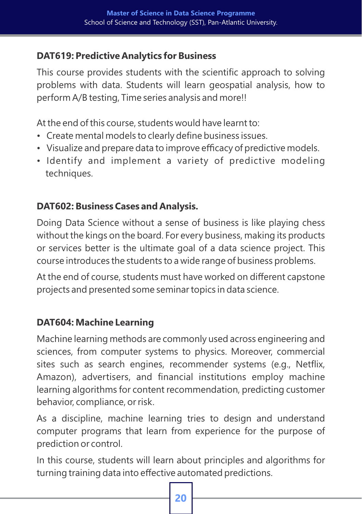### **DAT619: Predictive Analytics for Business**

This course provides students with the scientific approach to solving problems with data. Students will learn geospatial analysis, how to perform A/B testing, Time series analysis and more!!

At the end of this course, students would have learnt to:

- Create mental models to clearly define business issues.
- Visualize and prepare data to improve efficacy of predictive models.
- Identify and implement a variety of predictive modeling techniques.

## **DAT602: Business Cases and Analysis.**

Doing Data Science without a sense of business is like playing chess without the kings on the board. For every business, making its products or services better is the ultimate goal of a data science project. This course introduces the students to a wide range of business problems.

At the end of course, students must have worked on different capstone projects and presented some seminar topics in data science.

# **DAT604: Machine Learning**

Machine learning methods are commonly used across engineering and sciences, from computer systems to physics. Moreover, commercial sites such as search engines, recommender systems (e.g., Netflix, Amazon), advertisers, and financial institutions employ machine learning algorithms for content recommendation, predicting customer behavior, compliance, or risk.

As a discipline, machine learning tries to design and understand computer programs that learn from experience for the purpose of prediction or control.

In this course, students will learn about principles and algorithms for turning training data into effective automated predictions.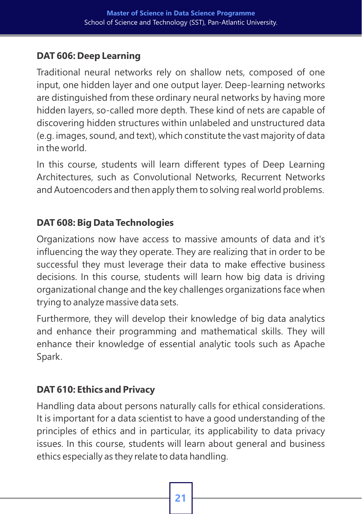### **DAT 606: Deep Learning**

Traditional neural networks rely on shallow nets, composed of one input, one hidden layer and one output layer. Deep-learning networks are distinguished from these ordinary neural networks by having more hidden layers, so-called more depth. These kind of nets are capable of discovering hidden structures within unlabeled and unstructured data (e.g. images, sound, and text), which constitute the vast majority of data in the world.

In this course, students will learn different types of Deep Learning Architectures, such as Convolutional Networks, Recurrent Networks and Autoencoders and then apply them to solving real world problems.

# **DAT 608: Big Data Technologies**

Organizations now have access to massive amounts of data and it's influencing the way they operate. They are realizing that in order to be successful they must leverage their data to make effective business decisions. In this course, students will learn how big data is driving organizational change and the key challenges organizations face when trying to analyze massive data sets.

Furthermore, they will develop their knowledge of big data analytics and enhance their programming and mathematical skills. They will enhance their knowledge of essential analytic tools such as Apache Spark.

# **DAT 610: Ethics and Privacy**

Handling data about persons naturally calls for ethical considerations. It is important for a data scientist to have a good understanding of the principles of ethics and in particular, its applicability to data privacy issues. In this course, students will learn about general and business ethics especially as they relate to data handling.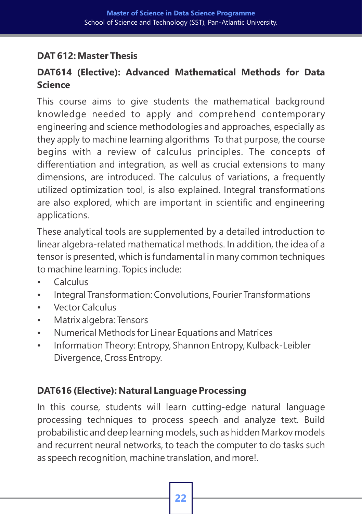#### **DAT 612: Master Thesis**

### **DAT614 (Elective): Advanced Mathematical Methods for Data Science**

This course aims to give students the mathematical background knowledge needed to apply and comprehend contemporary engineering and science methodologies and approaches, especially as they apply to machine learning algorithms To that purpose, the course begins with a review of calculus principles. The concepts of differentiation and integration, as well as crucial extensions to many dimensions, are introduced. The calculus of variations, a frequently utilized optimization tool, is also explained. Integral transformations are also explored, which are important in scientific and engineering applications.

These analytical tools are supplemented by a detailed introduction to linear algebra-related mathematical methods. In addition, the idea of a tensor is presented, which is fundamental in many common techniques to machine learning. Topics include:

- Calculus
- Integral Transformation: Convolutions, Fourier Transformations
- Vector Calculus
- Matrix algebra: Tensors
- Numerical Methods for Linear Equations and Matrices
- Divergence, Cross Entropy. • Information Theory: Entropy, Shannon Entropy, Kulback-Leibler

### **DAT616 (Elective): Natural Language Processing**

In this course, students will learn cutting-edge natural language processing techniques to process speech and analyze text. Build probabilistic and deep learning models, such as hidden Markov models and recurrent neural networks, to teach the computer to do tasks such as speech recognition, machine translation, and more!.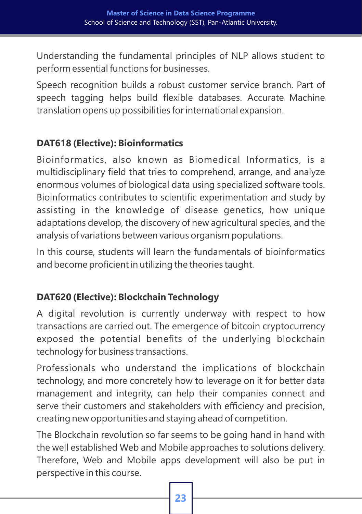Understanding the fundamental principles of NLP allows student to perform essential functions for businesses.

Speech recognition builds a robust customer service branch. Part of speech tagging helps build flexible databases. Accurate Machine translation opens up possibilities for international expansion.

## **DAT618 (Elective): Bioinformatics**

Bioinformatics, also known as Biomedical Informatics, is a multidisciplinary field that tries to comprehend, arrange, and analyze enormous volumes of biological data using specialized software tools. Bioinformatics contributes to scientific experimentation and study by assisting in the knowledge of disease genetics, how unique adaptations develop, the discovery of new agricultural species, and the analysis of variations between various organism populations.

In this course, students will learn the fundamentals of bioinformatics and become proficient in utilizing the theories taught.

# **DAT620 (Elective): Blockchain Technology**

A digital revolution is currently underway with respect to how transactions are carried out. The emergence of bitcoin cryptocurrency exposed the potential benefits of the underlying blockchain technology for business transactions.

Professionals who understand the implications of blockchain technology, and more concretely how to leverage on it for better data management and integrity, can help their companies connect and serve their customers and stakeholders with efficiency and precision, creating new opportunities and staying ahead of competition.

The Blockchain revolution so far seems to be going hand in hand with the well established Web and Mobile approaches to solutions delivery. Therefore, Web and Mobile apps development will also be put in perspective in this course.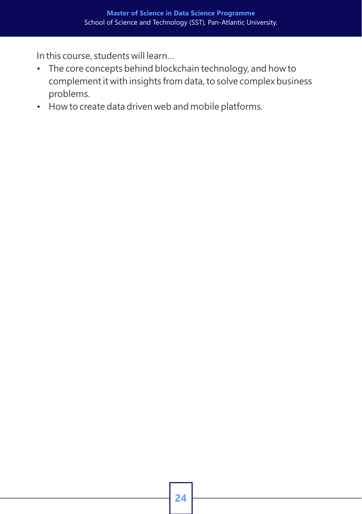In this course, students will learn…

- complement it with insights from data, to solve complex business • The core concepts behind blockchain technology, and how to problems.
- How to create data driven web and mobile platforms.